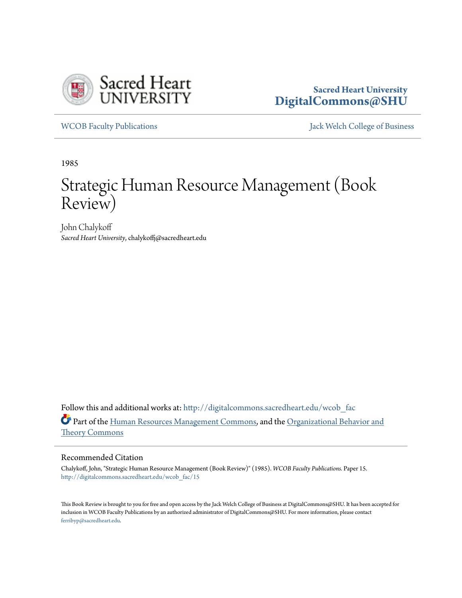

# **Sacred Heart University [DigitalCommons@SHU](http://digitalcommons.sacredheart.edu?utm_source=digitalcommons.sacredheart.edu%2Fwcob_fac%2F15&utm_medium=PDF&utm_campaign=PDFCoverPages)**

[WCOB Faculty Publications](http://digitalcommons.sacredheart.edu/wcob_fac?utm_source=digitalcommons.sacredheart.edu%2Fwcob_fac%2F15&utm_medium=PDF&utm_campaign=PDFCoverPages) [Jack Welch College of Business](http://digitalcommons.sacredheart.edu/wcob?utm_source=digitalcommons.sacredheart.edu%2Fwcob_fac%2F15&utm_medium=PDF&utm_campaign=PDFCoverPages)

1985

# Strategic Human Resource Management (Book Review)

John Chalykoff *Sacred Heart University*, chalykoffj@sacredheart.edu

Follow this and additional works at: [http://digitalcommons.sacredheart.edu/wcob\\_fac](http://digitalcommons.sacredheart.edu/wcob_fac?utm_source=digitalcommons.sacredheart.edu%2Fwcob_fac%2F15&utm_medium=PDF&utm_campaign=PDFCoverPages) Part of the [Human Resources Management Commons,](http://network.bepress.com/hgg/discipline/633?utm_source=digitalcommons.sacredheart.edu%2Fwcob_fac%2F15&utm_medium=PDF&utm_campaign=PDFCoverPages) and the [Organizational Behavior and](http://network.bepress.com/hgg/discipline/639?utm_source=digitalcommons.sacredheart.edu%2Fwcob_fac%2F15&utm_medium=PDF&utm_campaign=PDFCoverPages) [Theory Commons](http://network.bepress.com/hgg/discipline/639?utm_source=digitalcommons.sacredheart.edu%2Fwcob_fac%2F15&utm_medium=PDF&utm_campaign=PDFCoverPages)

## Recommended Citation

Chalykoff, John, "Strategic Human Resource Management (Book Review)" (1985). *WCOB Faculty Publications.* Paper 15. [http://digitalcommons.sacredheart.edu/wcob\\_fac/15](http://digitalcommons.sacredheart.edu/wcob_fac/15?utm_source=digitalcommons.sacredheart.edu%2Fwcob_fac%2F15&utm_medium=PDF&utm_campaign=PDFCoverPages)

This Book Review is brought to you for free and open access by the Jack Welch College of Business at DigitalCommons@SHU. It has been accepted for inclusion in WCOB Faculty Publications by an authorized administrator of DigitalCommons@SHU. For more information, please contact [ferribyp@sacredheart.edu](mailto:ferribyp@sacredheart.edu).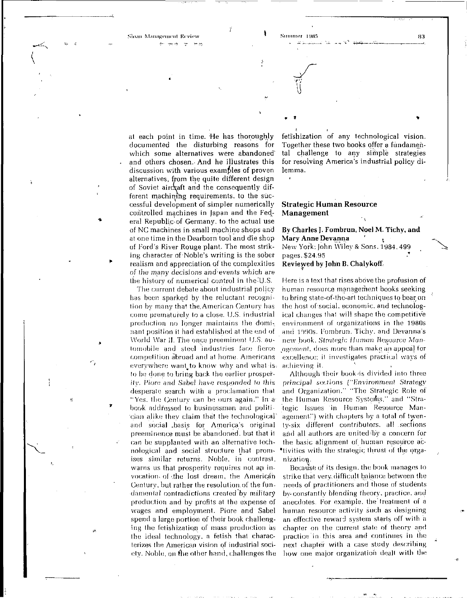Shoan Management Review **Section 1985** 83<br>Show South Street, New South Street, New Street, New Street, New Street, New Street, New Street, New Street, New Street, New Street, New Street, New Street, New Street, New Street,

 $\cup$ 

• I

at each point in time. He has thoroughly documented the disturbing reasons for which some alternatives were abandoned' and others chosen. And he illustrates this discussion with various examples of proven alternatives, from the quite different design of Soviet aircraft and the consequently different machining requirements, to the successful development of simpler numerically controlled machines in Japan and the Federal Republic-of Germany, to the actual use of NC machines in small machine shops and at one time in the Dearborn tool and die shop of Ford's River Rouge plant. The most striking character of Noble's writing is the sober realism and appreciation of the complexities of the many decisions and-events which are the history of numerical control in the U.S.

The current debate about industrial policy has been sparked by the reluctant recognition bv many that the. American Century has come prematurelv to a close. U.S. industrial production no longer maintains the dominant position it had established at the end of World War II. The once preeminent U.S. automobile and steel industries face fierce competition abroad and at home. Americans everywhere want to know why and what is. to be done to bring back the earlier prosperity. Fiore and Sabel have responded to this desperate search with a proclamation that "Yes. the Centurv can be ours again." In a book addressed to businessman and politician alike they claim that the technological and social .basis for America's original preeminence must be abandoned, but that it can be supplanted with an alternative technological and social structure that promises similar returns. Noble, in contrast, warns us that prosperity requires not an invocation of the lost dream, the American Century, but rather the resolution of the fundamental contradictions created by military production and by profits at the expense of wages and employment. Piore and Sabel spend a large portion of their book challenging the fetishization of mass production as the ideal technology, a fetish that characterizes the American vision of industrial society. Noble, on flie other band, challenges the

feti'shization of any technological vision. Together these two books offer a fundamental challenge to any simple strategies for resolving America's industrial policy dilemma.

#### **Strategic Human Resource Management**

**By Charles J. Fombrun, Noel** M. Tichy, **and Mary Anne Devanna** New York: John Wiley *&* Sons. 1984. 499 pages, \$24.95 *'*  **Reviewed** by **John B.** Chalykoff

Here is a text that rises above the profusion of human resource management books seeking to bring state-of-the-art techniques to bear on the host of social, economic, and technological changes that will shape the competitive environment of organizations in the 1980s and 1990s. Fombrun, Tichy. and Devanna's new book. Strategic Human Resource Management, does more than make an appeal tor excellence; it investigates practical ways of achieving it.

Although their book'is divided into three principal sections ("Environment Strategy and Organization." "The Strategic Role of the Human Resource Systems," and "Strategic Issues in Human Resource Management") with chapters by a total of twenty-six different contributors, all sections and all authors are united by a concern for the basic alignment of human resource activities with the strategic thrust of the organization..

Because of its design, the book manages lo strike that very, difficult balance between the needs of practitioners and those of students bv-constantly blending theory, practice, and anecdotes. For example, the'treatment of a human resource activity such as designing an effective reward system starts off with a chapter on the current state of theory and practice in this area and continues in the next chapter with a case study describing how one major organization dealt with the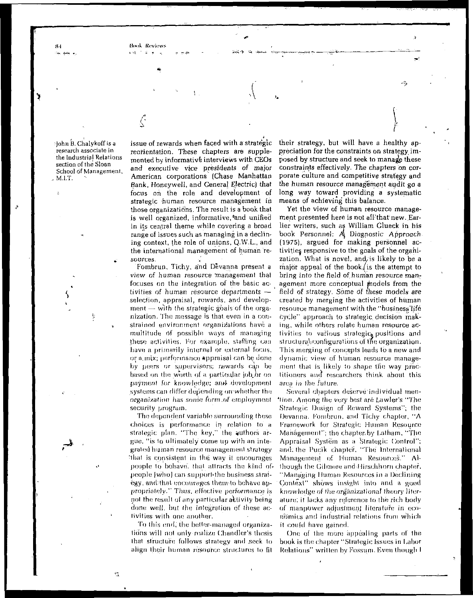**Book Review** 

•John B. Chalykoff is *a*  research associate in the Industrial Relations section of the Sloan School of Management, M.I.T.

للب

issue of rewards when faced with a strategic reorientation. These chapters are supplemented by informative interviews with CEOs and executive vice presidents of major American corporations (Chase Manhattan Bank, Honeywell, and General Electric) that focus on the role and development of strategic human resource management in those organizations. The result is a book that is well organized, informative, and unified in its central theme while covering a broad range of issues such as managing in a declining context, the role of unions, Q.W.L., and the international management of human resources.

A. ,

Fombrun, Tichy, and Devanna present a view of human resource management that focuses on the integration of the basic activities of human resource departments selection, appraisal, rewards, and develop $ment$  — with the strategic goals of the organization. The message is that, even in a constrained environment organizations have a multitude of possible ways of managing these activities. For example, staffing can have a primarily interna) or external focus, or a.mix; performance Appraisal can be done by peers or supervisors; rewards can be based on the worth of a particular job or payment for knowledge; and development systems can differ depending onwhether the organization has sorrie form .of employment security program.

The dependent variable surrounding these choices is performance in relation to a strategic plan. "The key," the authors argue, "is lo ultimately come up with an integrated human resource management strategy 'that is consistent in the way if encourages people to behave, that attracts the kind ofpeople [who] can support the business strategy, and that encourages thenvto behave appropriately-" Thus, effective performance is not the result of any particular activity being done well, but the integration of these activities with one another.

To this end, the bettor-managed organizations will not only realize Chandler's thesis that structure follows strategy and seek lo align their human resource structures to fit

their strategy, but will have a healthy appreciation for the constraints on strategy imposed by structure and seek to manage these constraints effectively. The chapters *on* corporate culture and competitive strategy and the human resource management audit go a long way toward providing a systematic means of achieving this balance.

Yet the view of human resource management presented here is not all'that new. Earlier writers, such as William Glueck in his book Personnel; *A^* Diagnostic Approach (1975), argued for making personnel activities, responsive to the goals of the organization. What is novel, and is likely to be a major appeal of the book, is the attempt to bring into the field of human resource management more conceptual models from the field of strategy. Some of these models are created by merging the activities of human resource management with *the* "business'hfe cycle" approach to strategic decision making, while others relate human resource activities to various strategic $_{0}$  positions and structural configurations of the organization. This merging of concepts leads to a new and dynamic view of human resource management that is likely to shape the way practitioners and researchers think about this area in the future.

Several chapters deserve'individual men- \*lion. Among the very best are Lawler's "The Strategic Design of Reward Systems"; the Devanna. Fombrun, and Tichy chapter, "A Framework for Strategic Human Resource Management"; the chaptenby Latham, "The Appraisal System as a Strategic Control"; and: the Pucik chapter, "The International Management of Human Resources." Although the Gil more and f lirschhorn chapter, "Managing Human Resources in a Declining Context" shows insight into and a good knowledge of the organizational theory literature; it lacks any reference to the rich body of manpower adjustment literature; in economics and industrial relations from which it could have gained.

One of the more appealing parts of the book is the chapter "Strategic Issues in Labor Relations" written by Fossum. Even though I